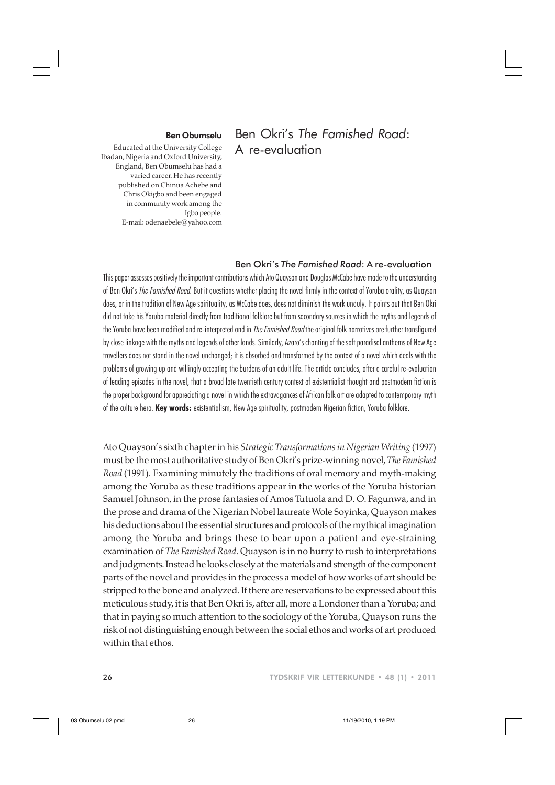## Ben Okri's *The Famished Road*: A re-evaluation

## Ben Obumselu

Educated at the University College Ibadan, Nigeria and Oxford University, England, Ben Obumselu has had a varied career. He has recently published on Chinua Achebe and Chris Okigbo and been engaged in community work among the Igbo people. E-mail: odenaebele@yahoo.com

## Ben Okri's *The Famished Road*: A re-evaluation

This paper assesses positively the important contributions which Ato Quayson and Douglas McCabe have made to the understanding of Ben Okri's The Famished Road. But it questions whether placing the novel firmly in the context of Yoruba orality, as Quayson does, or in the tradition of New Age spirituality, as McCabe does, does not diminish the work unduly. It points out that Ben Okri did not take his Yoruba material directly from traditional folklore but from secondary sources in which the myths and legends of the Yoruba have been modified and re-interpreted and in *The Famished Road* the original folk narratives are further transfigured by close linkage with the myths and legends of other lands. Similarly, Azaro's chanting of the soft paradisal anthems of New Age travellers does not stand in the novel unchanged; it is absorbed and transformed by the context of a novel which deals with the problems of growing up and willingly accepting the burdens of an adult life. The article concludes, after a careful re-evaluation of leading episodes in the novel, that a broad late twentieth century context of existentialist thought and postmodern fiction is the proper background for appreciating a novel in which the extravagances of African folk art are adapted to contemporary myth of the culture hero. **Key words:** existentialism, New Age spirituality, postmodern Nigerian fiction, Yoruba folklore.

Ato Quayson's sixth chapter in his *Strategic Transformations in Nigerian Writing* (1997) must be the most authoritative study of Ben Okri's prize-winning novel, *The Famished Road* (1991). Examining minutely the traditions of oral memory and myth-making among the Yoruba as these traditions appear in the works of the Yoruba historian Samuel Johnson, in the prose fantasies of Amos Tutuola and D. O. Fagunwa, and in the prose and drama of the Nigerian Nobel laureate Wole Soyinka, Quayson makes his deductions about the essential structures and protocols of the mythical imagination among the Yoruba and brings these to bear upon a patient and eye-straining examination of *The Famished Road*. Quayson is in no hurry to rush to interpretations and judgments. Instead he looks closely at the materials and strength of the component parts of the novel and provides in the process a model of how works of art should be stripped to the bone and analyzed. If there are reservations to be expressed about this meticulous study, it is that Ben Okri is, after all, more a Londoner than a Yoruba; and that in paying so much attention to the sociology of the Yoruba, Quayson runs the risk of not distinguishing enough between the social ethos and works of art produced within that ethos.

26 TYDSKRIF VIR LETTERKUNDE • 48 (1) • 2011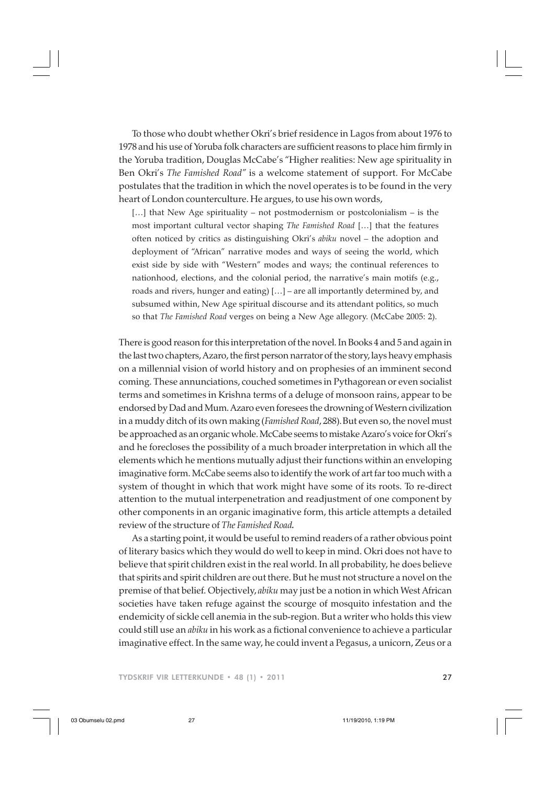To those who doubt whether Okri's brief residence in Lagos from about 1976 to 1978 and his use of Yoruba folk characters are sufficient reasons to place him firmly in the Yoruba tradition, Douglas McCabe's "Higher realities: New age spirituality in Ben Okri's *The Famished Road"* is a welcome statement of support. For McCabe postulates that the tradition in which the novel operates is to be found in the very heart of London counterculture. He argues, to use his own words,

[...] that New Age spirituality – not postmodernism or postcolonialism – is the most important cultural vector shaping *The Famished Road* […] that the features often noticed by critics as distinguishing Okri's *abiku* novel – the adoption and deployment of "African" narrative modes and ways of seeing the world, which exist side by side with "Western" modes and ways; the continual references to nationhood, elections, and the colonial period, the narrative's main motifs (e.g., roads and rivers, hunger and eating) […] – are all importantly determined by, and subsumed within, New Age spiritual discourse and its attendant politics, so much so that *The Famished Road* verges on being a New Age allegory. (McCabe 2005: 2).

There is good reason for this interpretation of the novel. In Books 4 and 5 and again in the last two chapters, Azaro, the first person narrator of the story, lays heavy emphasis on a millennial vision of world history and on prophesies of an imminent second coming. These annunciations, couched sometimes in Pythagorean or even socialist terms and sometimes in Krishna terms of a deluge of monsoon rains, appear to be endorsed by Dad and Mum. Azaro even foresees the drowning of Western civilization in a muddy ditch of its own making (*Famished Road*, 288).But even so, the novel must be approached as an organic whole. McCabe seems to mistake Azaro's voice for Okri's and he forecloses the possibility of a much broader interpretation in which all the elements which he mentions mutually adjust their functions within an enveloping imaginative form. McCabe seems also to identify the work of art far too much with a system of thought in which that work might have some of its roots. To re-direct attention to the mutual interpenetration and readjustment of one component by other components in an organic imaginative form, this article attempts a detailed review of the structure of *The Famished Road.*

As a starting point, it would be useful to remind readers of a rather obvious point of literary basics which they would do well to keep in mind. Okri does not have to believe that spirit children exist in the real world. In all probability, he does believe that spirits and spirit children are out there. But he must not structure a novel on the premise of that belief. Objectively, *abiku* may just be a notion in which West African societies have taken refuge against the scourge of mosquito infestation and the endemicity of sickle cell anemia in the sub-region. But a writer who holds this view could still use an *abiku* in his work as a fictional convenience to achieve a particular imaginative effect. In the same way, he could invent a Pegasus, a unicorn, Zeus or a

TYDSKRIF VIR LETTERKUNDE • 48 (1) • 2011 27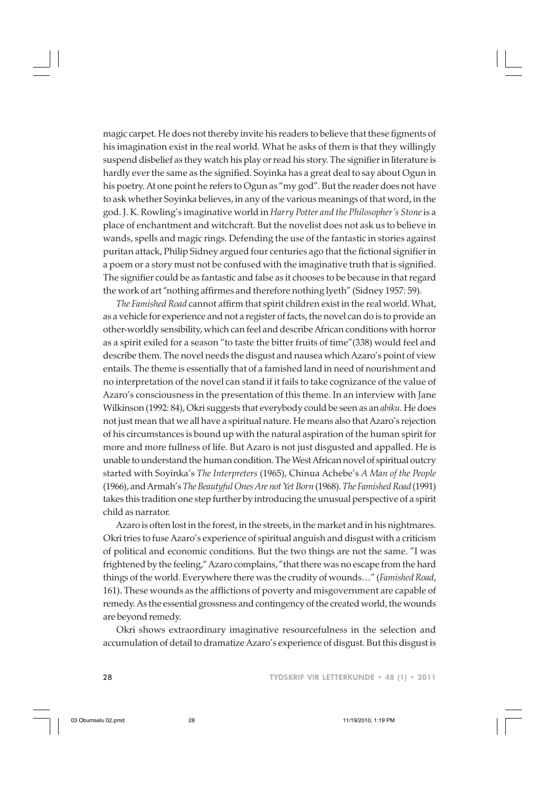magic carpet. He does not thereby invite his readers to believe that these figments of his imagination exist in the real world. What he asks of them is that they willingly suspend disbelief as they watch his play or read his story. The signifier in literature is hardly ever the same as the signified. Soyinka has a great deal to say about Ogun in his poetry. At one point he refers to Ogun as "my god". But the reader does not have to ask whether Soyinka believes, in any of the various meanings of that word, in the god. J. K. Rowling's imaginative world in *Harry Potter and the Philosopher's Stone* is a place of enchantment and witchcraft. But the novelist does not ask us to believe in wands, spells and magic rings. Defending the use of the fantastic in stories against puritan attack, Philip Sidney argued four centuries ago that the fictional signifier in a poem or a story must not be confused with the imaginative truth that is signified. The signifier could be as fantastic and false as it chooses to be because in that regard the work of art "nothing affirmes and therefore nothing lyeth" (Sidney 1957: 59).

*The Famished Road* cannot affirm that spirit children exist in the real world. What, as a vehicle for experience and not a register of facts, the novel can do is to provide an other-worldly sensibility, which can feel and describe African conditions with horror as a spirit exiled for a season "to taste the bitter fruits of time"(338) would feel and describe them. The novel needs the disgust and nausea which Azaro's point of view entails. The theme is essentially that of a famished land in need of nourishment and no interpretation of the novel can stand if it fails to take cognizance of the value of Azaro's consciousness in the presentation of this theme. In an interview with Jane Wilkinson (1992: 84), Okri suggests that everybody could be seen as an *abiku.* He does not just mean that we all have a spiritual nature. He means also that Azaro's rejection of his circumstances is bound up with the natural aspiration of the human spirit for more and more fullness of life. But Azaro is not just disgusted and appalled. He is unable to understand the human condition. The West African novel of spiritual outcry started with Soyinka's *The Interpreters* (1965), Chinua Achebe's *A Man of the People* (1966), and Armah's *The Beautyful Ones Are not Yet Born* (1968). *The Famished Road* (1991) takes this tradition one step further by introducing the unusual perspective of a spirit child as narrator.

Azaro is often lost in the forest, in the streets, in the market and in his nightmares. Okri tries to fuse Azaro's experience of spiritual anguish and disgust with a criticism of political and economic conditions. But the two things are not the same. "I was frightened by the feeling," Azaro complains, "that there was no escape from the hard things of the world. Everywhere there was the crudity of wounds…" (*Famished Road*, 161). These wounds as the afflictions of poverty and misgovernment are capable of remedy. As the essential grossness and contingency of the created world, the wounds are beyond remedy.

Okri shows extraordinary imaginative resourcefulness in the selection and accumulation of detail to dramatize Azaro's experience of disgust. But this disgust is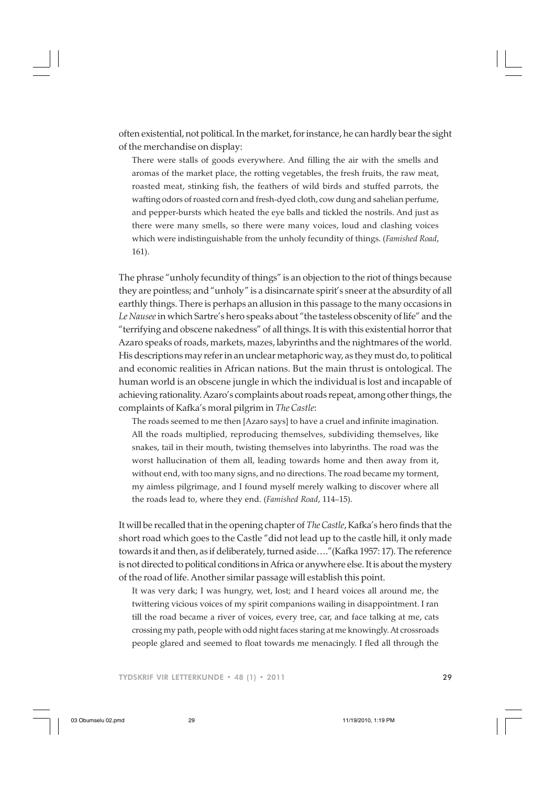often existential, not political. In the market, for instance, he can hardly bear the sight of the merchandise on display:

There were stalls of goods everywhere. And filling the air with the smells and aromas of the market place, the rotting vegetables, the fresh fruits, the raw meat, roasted meat, stinking fish, the feathers of wild birds and stuffed parrots, the wafting odors of roasted corn and fresh-dyed cloth, cow dung and sahelian perfume, and pepper-bursts which heated the eye balls and tickled the nostrils. And just as there were many smells, so there were many voices, loud and clashing voices which were indistinguishable from the unholy fecundity of things. (*Famished Road*, 161).

The phrase "unholy fecundity of things" is an objection to the riot of things because they are pointless; and "unholy" is a disincarnate spirit's sneer at the absurdity of all earthly things. There is perhaps an allusion in this passage to the many occasions in *Le Nausee* in which Sartre's hero speaks about "the tasteless obscenity of life" and the "terrifying and obscene nakedness" of all things. It is with this existential horror that Azaro speaks of roads, markets, mazes, labyrinths and the nightmares of the world. His descriptions may refer in an unclear metaphoric way, as they must do, to political and economic realities in African nations. But the main thrust is ontological. The human world is an obscene jungle in which the individual is lost and incapable of achieving rationality. Azaro's complaints about roads repeat, among other things, the complaints of Kafka's moral pilgrim in *The Castle*:

The roads seemed to me then [Azaro says] to have a cruel and infinite imagination. All the roads multiplied, reproducing themselves, subdividing themselves, like snakes, tail in their mouth, twisting themselves into labyrinths. The road was the worst hallucination of them all, leading towards home and then away from it, without end, with too many signs, and no directions. The road became my torment, my aimless pilgrimage, and I found myself merely walking to discover where all the roads lead to, where they end. (*Famished Road*, 114–15).

It will be recalled that in the opening chapter of *The Castle*, Kafka's hero finds that the short road which goes to the Castle "did not lead up to the castle hill, it only made towards it and then, as if deliberately, turned aside…."(Kafka 1957: 17). The reference is not directed to political conditions in Africa or anywhere else. It is about the mystery of the road of life. Another similar passage will establish this point.

It was very dark; I was hungry, wet, lost; and I heard voices all around me, the twittering vicious voices of my spirit companions wailing in disappointment. I ran till the road became a river of voices, every tree, car, and face talking at me, cats crossing my path, people with odd night faces staring at me knowingly. At crossroads people glared and seemed to float towards me menacingly. I fled all through the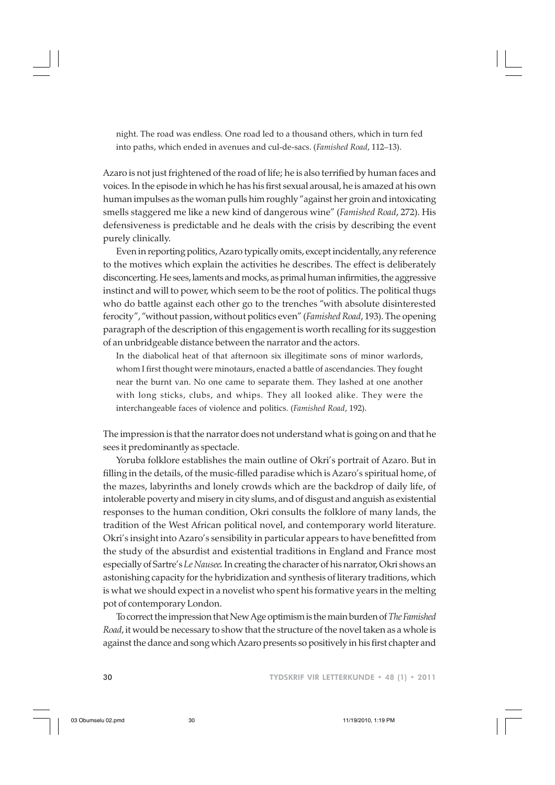night. The road was endless. One road led to a thousand others, which in turn fed into paths, which ended in avenues and cul-de-sacs. (*Famished Road*, 112–13).

Azaro is not just frightened of the road of life; he is also terrified by human faces and voices. In the episode in which he has his first sexual arousal, he is amazed at his own human impulses as the woman pulls him roughly "against her groin and intoxicating smells staggered me like a new kind of dangerous wine" (*Famished Road*, 272). His defensiveness is predictable and he deals with the crisis by describing the event purely clinically.

Even in reporting politics, Azaro typically omits, except incidentally, any reference to the motives which explain the activities he describes. The effect is deliberately disconcerting. He sees, laments and mocks, as primal human infirmities, the aggressive instinct and will to power, which seem to be the root of politics. The political thugs who do battle against each other go to the trenches "with absolute disinterested ferocity", "without passion, without politics even" (*Famished Road*, 193). The opening paragraph of the description of this engagement is worth recalling for its suggestion of an unbridgeable distance between the narrator and the actors.

In the diabolical heat of that afternoon six illegitimate sons of minor warlords, whom I first thought were minotaurs, enacted a battle of ascendancies. They fought near the burnt van. No one came to separate them. They lashed at one another with long sticks, clubs, and whips. They all looked alike. They were the interchangeable faces of violence and politics. (*Famished Road*, 192).

The impression is that the narrator does not understand what is going on and that he sees it predominantly as spectacle.

Yoruba folklore establishes the main outline of Okri's portrait of Azaro. But in filling in the details, of the music-filled paradise which is Azaro's spiritual home, of the mazes, labyrinths and lonely crowds which are the backdrop of daily life, of intolerable poverty and misery in city slums, and of disgust and anguish as existential responses to the human condition, Okri consults the folklore of many lands, the tradition of the West African political novel, and contemporary world literature. Okri's insight into Azaro's sensibility in particular appears to have benefitted from the study of the absurdist and existential traditions in England and France most especially of Sartre's *Le Nausee.* In creating the character of his narrator, Okri shows an astonishing capacity for the hybridization and synthesis of literary traditions, which is what we should expect in a novelist who spent his formative years in the melting pot of contemporary London.

To correct the impression that New Age optimism is the main burden of *TheFamished Road*, it would be necessary to show that the structure of the novel taken as a whole is against the dance and song which Azaro presents so positively in his first chapter and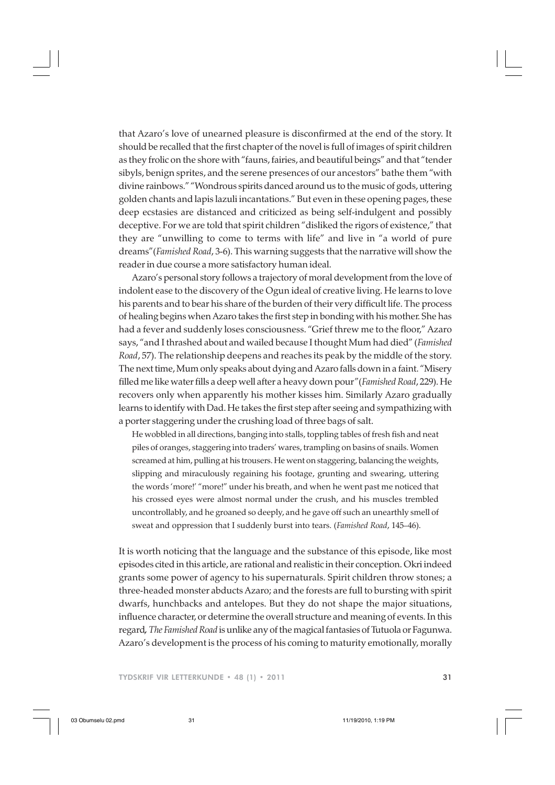that Azaro's love of unearned pleasure is disconfirmed at the end of the story. It should be recalled that the first chapter of the novel is full of images of spirit children as they frolic on the shore with "fauns, fairies, and beautiful beings" and that "tender sibyls, benign sprites, and the serene presences of our ancestors" bathe them "with divine rainbows." "Wondrous spirits danced around us to the music of gods, uttering golden chants and lapis lazuli incantations." But even in these opening pages, these deep ecstasies are distanced and criticized as being self-indulgent and possibly deceptive. For we are told that spirit children "disliked the rigors of existence," that they are "unwilling to come to terms with life" and live in "a world of pure dreams"(*Famished Road*, 3-6). This warning suggests that the narrative will show the reader in due course a more satisfactory human ideal.

Azaro's personal story follows a trajectory of moral development from the love of indolent ease to the discovery of the Ogun ideal of creative living. He learns to love his parents and to bear his share of the burden of their very difficult life. The process of healing begins when Azaro takes the first step in bonding with his mother. She has had a fever and suddenly loses consciousness. "Grief threw me to the floor," Azaro says, "and I thrashed about and wailed because I thought Mum had died" (*Famished Road*, 57). The relationship deepens and reaches its peak by the middle of the story. The next time, Mum only speaks about dying and Azaro falls down in a faint. "Misery filled me like water fills a deep well after a heavy down pour"(*Famished Road*, 229). He recovers only when apparently his mother kisses him. Similarly Azaro gradually learns to identify with Dad. He takes the first step after seeing and sympathizing with a porter staggering under the crushing load of three bags of salt.

He wobbled in all directions, banging into stalls, toppling tables of fresh fish and neat piles of oranges, staggering into traders' wares, trampling on basins of snails. Women screamed at him, pulling at his trousers. He went on staggering, balancing the weights, slipping and miraculously regaining his footage, grunting and swearing, uttering the words 'more!' "more!" under his breath, and when he went past me noticed that his crossed eyes were almost normal under the crush, and his muscles trembled uncontrollably, and he groaned so deeply, and he gave off such an unearthly smell of sweat and oppression that I suddenly burst into tears. (*Famished Road*, 145–46).

It is worth noticing that the language and the substance of this episode, like most episodes cited in this article, are rational and realistic in their conception. Okri indeed grants some power of agency to his supernaturals. Spirit children throw stones; a three-headed monster abducts Azaro; and the forests are full to bursting with spirit dwarfs, hunchbacks and antelopes. But they do not shape the major situations, influence character, or determine the overall structure and meaning of events. In this regard*, The Famished Road* is unlike any of the magical fantasies of Tutuola or Fagunwa. Azaro's development is the process of his coming to maturity emotionally, morally

TYDSKRIF VIR LETTERKUNDE • 48 (1) • 2011 31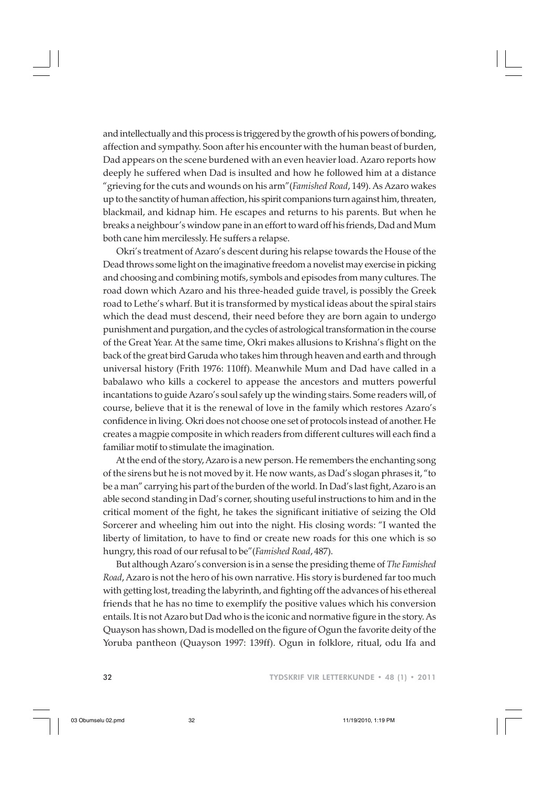and intellectually and this process is triggered by the growth of his powers of bonding, affection and sympathy. Soon after his encounter with the human beast of burden, Dad appears on the scene burdened with an even heavier load. Azaro reports how deeply he suffered when Dad is insulted and how he followed him at a distance "grieving for the cuts and wounds on his arm"(*Famished Road*, 149). As Azaro wakes up to the sanctity of human affection, his spirit companions turn against him, threaten, blackmail, and kidnap him. He escapes and returns to his parents. But when he breaks a neighbour's window pane in an effort to ward off his friends, Dad and Mum both cane him mercilessly. He suffers a relapse.

Okri's treatment of Azaro's descent during his relapse towards the House of the Dead throws some light on the imaginative freedom a novelist may exercise in picking and choosing and combining motifs, symbols and episodes from many cultures. The road down which Azaro and his three-headed guide travel, is possibly the Greek road to Lethe's wharf. But it is transformed by mystical ideas about the spiral stairs which the dead must descend, their need before they are born again to undergo punishment and purgation, and the cycles of astrological transformation in the course of the Great Year. At the same time, Okri makes allusions to Krishna's flight on the back of the great bird Garuda who takes him through heaven and earth and through universal history (Frith 1976: 110ff). Meanwhile Mum and Dad have called in a babalawo who kills a cockerel to appease the ancestors and mutters powerful incantations to guide Azaro's soul safely up the winding stairs. Some readers will, of course, believe that it is the renewal of love in the family which restores Azaro's confidence in living. Okri does not choose one set of protocols instead of another. He creates a magpie composite in which readers from different cultures will each find a familiar motif to stimulate the imagination.

At the end of the story, Azaro is a new person. He remembers the enchanting song of the sirens but he is not moved by it. He now wants, as Dad's slogan phrases it, "to be a man" carrying his part of the burden of the world. In Dad's last fight, Azaro is an able second standing in Dad's corner, shouting useful instructions to him and in the critical moment of the fight, he takes the significant initiative of seizing the Old Sorcerer and wheeling him out into the night. His closing words: "I wanted the liberty of limitation, to have to find or create new roads for this one which is so hungry, this road of our refusal to be"(*Famished Road*, 487).

But although Azaro's conversion is in a sense the presiding theme of *The Famished Road*, Azaro is not the hero of his own narrative. His story is burdened far too much with getting lost, treading the labyrinth, and fighting off the advances of his ethereal friends that he has no time to exemplify the positive values which his conversion entails. It is not Azaro but Dad who is the iconic and normative figure in the story. As Quayson has shown, Dad is modelled on the figure of Ogun the favorite deity of the Yoruba pantheon (Quayson 1997: 139ff). Ogun in folklore, ritual, odu Ifa and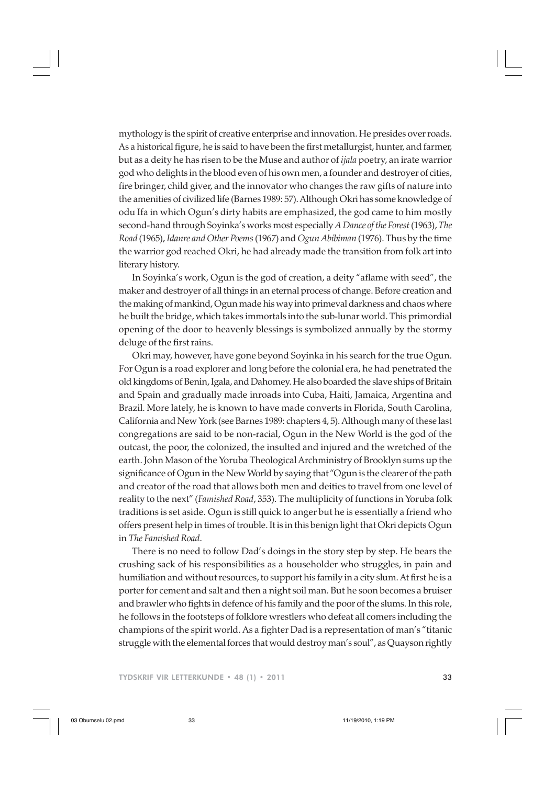mythology is the spirit of creative enterprise and innovation. He presides over roads. As a historical figure, he is said to have been the first metallurgist, hunter, and farmer, but as a deity he has risen to be the Muse and author of *ijala* poetry, an irate warrior god who delights in the blood even of his own men, a founder and destroyer of cities, fire bringer, child giver, and the innovator who changes the raw gifts of nature into the amenities of civilized life (Barnes 1989: 57). Although Okri has some knowledge of odu Ifa in which Ogun's dirty habits are emphasized, the god came to him mostly second-hand through Soyinka's works most especially *A Dance of the Forest* (1963), *The Road* (1965), *Idanre and Other Poems* (1967) and *Ogun Abibiman* (1976). Thus by the time the warrior god reached Okri, he had already made the transition from folk art into literary history.

In Soyinka's work, Ogun is the god of creation, a deity "aflame with seed", the maker and destroyer of all things in an eternal process of change. Before creation and the making of mankind, Ogun made his way into primeval darkness and chaos where he built the bridge, which takes immortals into the sub-lunar world. This primordial opening of the door to heavenly blessings is symbolized annually by the stormy deluge of the first rains.

Okri may, however, have gone beyond Soyinka in his search for the true Ogun. For Ogun is a road explorer and long before the colonial era, he had penetrated the old kingdoms of Benin, Igala, and Dahomey. He also boarded the slave ships of Britain and Spain and gradually made inroads into Cuba, Haiti, Jamaica, Argentina and Brazil. More lately, he is known to have made converts in Florida, South Carolina, California and New York (see Barnes 1989: chapters 4, 5). Although many of these last congregations are said to be non-racial, Ogun in the New World is the god of the outcast, the poor, the colonized, the insulted and injured and the wretched of the earth. John Mason of the Yoruba Theological Archministry of Brooklyn sums up the significance of Ogun in the New World by saying that "Ogun is the clearer of the path and creator of the road that allows both men and deities to travel from one level of reality to the next" (*Famished Road*, 353). The multiplicity of functions in Yoruba folk traditions is set aside. Ogun is still quick to anger but he is essentially a friend who offers present help in times of trouble. It is in this benign light that Okri depicts Ogun in *The Famished Road*.

There is no need to follow Dad's doings in the story step by step. He bears the crushing sack of his responsibilities as a householder who struggles, in pain and humiliation and without resources, to support his family in a city slum. At first he is a porter for cement and salt and then a night soil man. But he soon becomes a bruiser and brawler who fights in defence of his family and the poor of the slums. In this role, he follows in the footsteps of folklore wrestlers who defeat all comers including the champions of the spirit world. As a fighter Dad is a representation of man's "titanic struggle with the elemental forces that would destroy man's soul", as Quayson rightly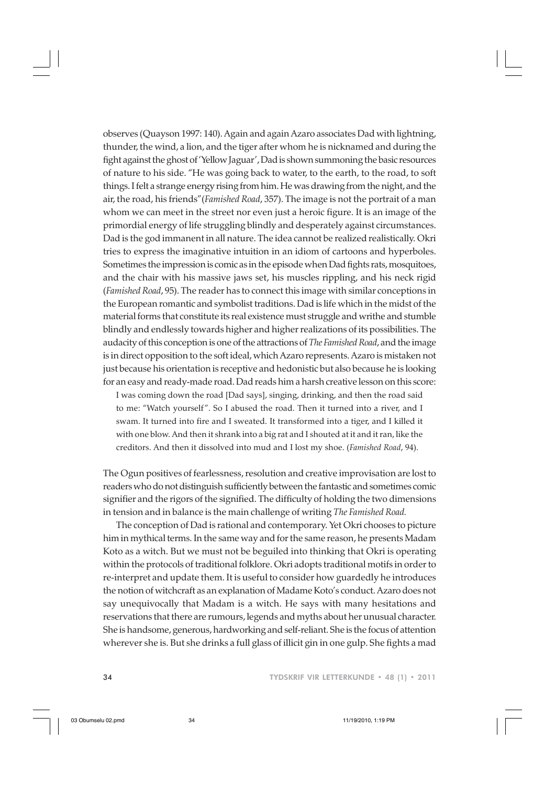observes (Quayson 1997: 140). Again and again Azaro associates Dad with lightning, thunder, the wind, a lion, and the tiger after whom he is nicknamed and during the fight against the ghost of 'Yellow Jaguar', Dad is shown summoning the basic resources of nature to his side. "He was going back to water, to the earth, to the road, to soft things. I felt a strange energy rising from him. He was drawing from the night, and the air, the road, his friends"(*Famished Road*, 357). The image is not the portrait of a man whom we can meet in the street nor even just a heroic figure. It is an image of the primordial energy of life struggling blindly and desperately against circumstances. Dad is the god immanent in all nature. The idea cannot be realized realistically. Okri tries to express the imaginative intuition in an idiom of cartoons and hyperboles. Sometimes the impression is comic as in the episode when Dad fights rats, mosquitoes, and the chair with his massive jaws set, his muscles rippling, and his neck rigid (*Famished Road*, 95). The reader has to connect this image with similar conceptions in the European romantic and symbolist traditions. Dad is life which in the midst of the material forms that constitute its real existence must struggle and writhe and stumble blindly and endlessly towards higher and higher realizations of its possibilities. The audacity of this conception is one of the attractions of *The Famished Road*, and the image is in direct opposition to the soft ideal, which Azaro represents. Azaro is mistaken not just because his orientation is receptive and hedonistic but also because he is looking for an easy and ready-made road. Dad reads him a harsh creative lesson on this score:

I was coming down the road [Dad says], singing, drinking, and then the road said to me: "Watch yourself ". So I abused the road. Then it turned into a river, and I swam. It turned into fire and I sweated. It transformed into a tiger, and I killed it with one blow. And then it shrank into a big rat and I shouted at it and it ran, like the creditors. And then it dissolved into mud and I lost my shoe. (*Famished Road*, 94).

The Ogun positives of fearlessness, resolution and creative improvisation are lost to readers who do not distinguish sufficiently between the fantastic and sometimes comic signifier and the rigors of the signified. The difficulty of holding the two dimensions in tension and in balance is the main challenge of writing *The Famished Road.*

The conception of Dad is rational and contemporary. Yet Okri chooses to picture him in mythical terms. In the same way and for the same reason, he presents Madam Koto as a witch. But we must not be beguiled into thinking that Okri is operating within the protocols of traditional folklore. Okri adopts traditional motifs in order to re-interpret and update them. It is useful to consider how guardedly he introduces the notion of witchcraft as an explanation of Madame Koto's conduct. Azaro does not say unequivocally that Madam is a witch. He says with many hesitations and reservations that there are rumours, legends and myths about her unusual character. She is handsome, generous, hardworking and self-reliant. She is the focus of attention wherever she is. But she drinks a full glass of illicit gin in one gulp. She fights a mad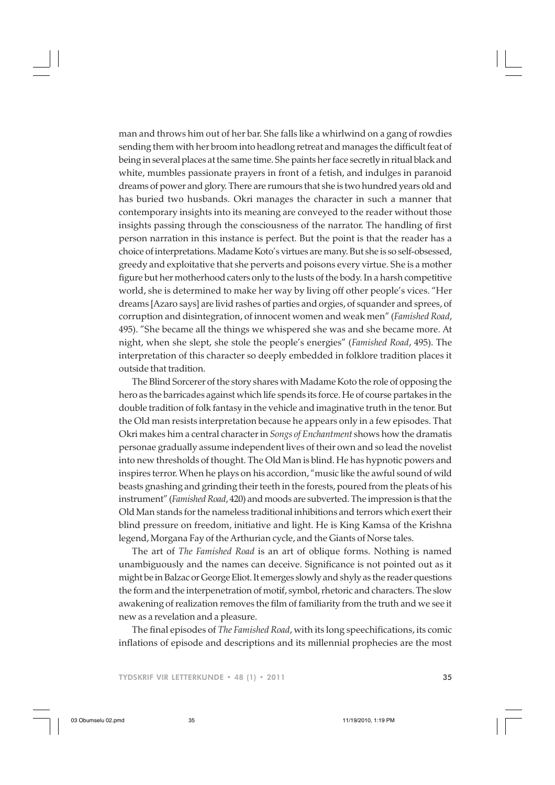man and throws him out of her bar. She falls like a whirlwind on a gang of rowdies sending them with her broom into headlong retreat and manages the difficult feat of being in several places at the same time. She paints her face secretly in ritual black and white, mumbles passionate prayers in front of a fetish, and indulges in paranoid dreams of power and glory. There are rumours that she is two hundred years old and has buried two husbands. Okri manages the character in such a manner that contemporary insights into its meaning are conveyed to the reader without those insights passing through the consciousness of the narrator. The handling of first person narration in this instance is perfect. But the point is that the reader has a choice of interpretations. Madame Koto's virtues are many. But she is so self-obsessed, greedy and exploitative that she perverts and poisons every virtue. She is a mother figure but her motherhood caters only to the lusts of the body. In a harsh competitive world, she is determined to make her way by living off other people's vices. "Her dreams [Azaro says] are livid rashes of parties and orgies, of squander and sprees, of corruption and disintegration, of innocent women and weak men" (*Famished Road*, 495). "She became all the things we whispered she was and she became more. At night, when she slept, she stole the people's energies" (*Famished Road*, 495). The interpretation of this character so deeply embedded in folklore tradition places it outside that tradition.

The Blind Sorcerer of the story shares with Madame Koto the role of opposing the hero as the barricades against which life spends its force. He of course partakes in the double tradition of folk fantasy in the vehicle and imaginative truth in the tenor. But the Old man resists interpretation because he appears only in a few episodes. That Okri makes him a central character in *Songs of Enchantment* shows how the dramatis personae gradually assume independent lives of their own and so lead the novelist into new thresholds of thought. The Old Man is blind. He has hypnotic powers and inspires terror. When he plays on his accordion, "music like the awful sound of wild beasts gnashing and grinding their teeth in the forests, poured from the pleats of his instrument" (*Famished Road*, 420) and moods are subverted. The impression is that the Old Man stands for the nameless traditional inhibitions and terrors which exert their blind pressure on freedom, initiative and light. He is King Kamsa of the Krishna legend, Morgana Fay of the Arthurian cycle, and the Giants of Norse tales.

The art of *The Famished Road* is an art of oblique forms. Nothing is named unambiguously and the names can deceive. Significance is not pointed out as it might be in Balzac or George Eliot. It emerges slowly and shyly as the reader questions the form and the interpenetration of motif, symbol, rhetoric and characters. The slow awakening of realization removes the film of familiarity from the truth and we see it new as a revelation and a pleasure.

The final episodes of *The Famished Road*, with its long speechifications, its comic inflations of episode and descriptions and its millennial prophecies are the most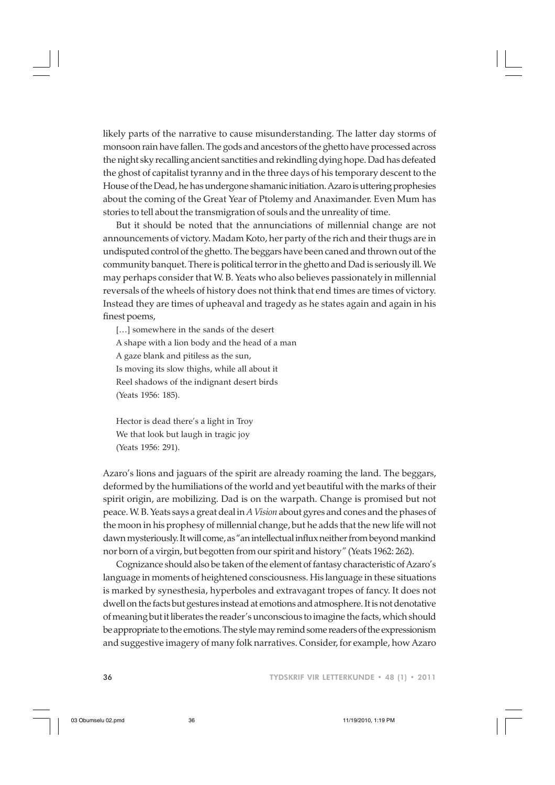likely parts of the narrative to cause misunderstanding. The latter day storms of monsoon rain have fallen. The gods and ancestors of the ghetto have processed across the night sky recalling ancient sanctities and rekindling dying hope. Dad has defeated the ghost of capitalist tyranny and in the three days of his temporary descent to the House of the Dead, he has undergone shamanic initiation. Azaro is uttering prophesies about the coming of the Great Year of Ptolemy and Anaximander. Even Mum has stories to tell about the transmigration of souls and the unreality of time.

But it should be noted that the annunciations of millennial change are not announcements of victory. Madam Koto, her party of the rich and their thugs are in undisputed control of the ghetto. The beggars have been caned and thrown out of the community banquet. There is political terror in the ghetto and Dad is seriously ill. We may perhaps consider that W. B. Yeats who also believes passionately in millennial reversals of the wheels of history does not think that end times are times of victory. Instead they are times of upheaval and tragedy as he states again and again in his finest poems,

[...] somewhere in the sands of the desert A shape with a lion body and the head of a man A gaze blank and pitiless as the sun, Is moving its slow thighs, while all about it Reel shadows of the indignant desert birds (Yeats 1956: 185).

Hector is dead there's a light in Troy We that look but laugh in tragic joy (Yeats 1956: 291).

Azaro's lions and jaguars of the spirit are already roaming the land. The beggars, deformed by the humiliations of the world and yet beautiful with the marks of their spirit origin, are mobilizing. Dad is on the warpath. Change is promised but not peace. W. B. Yeats says a great deal in *A Vision* about gyres and cones and the phases of the moon in his prophesy of millennial change, but he adds that the new life will not dawn mysteriously. It will come, as "an intellectual influx neither from beyond mankind nor born of a virgin, but begotten from our spirit and history" (Yeats 1962: 262).

Cognizance should also be taken of the element of fantasy characteristic of Azaro's language in moments of heightened consciousness. His language in these situations is marked by synesthesia, hyperboles and extravagant tropes of fancy. It does not dwell on the facts but gestures instead at emotions and atmosphere. It is not denotative of meaning but it liberates the reader's unconscious to imagine the facts, which should be appropriate to the emotions. The style may remind some readers of the expressionism and suggestive imagery of many folk narratives. Consider, for example, how Azaro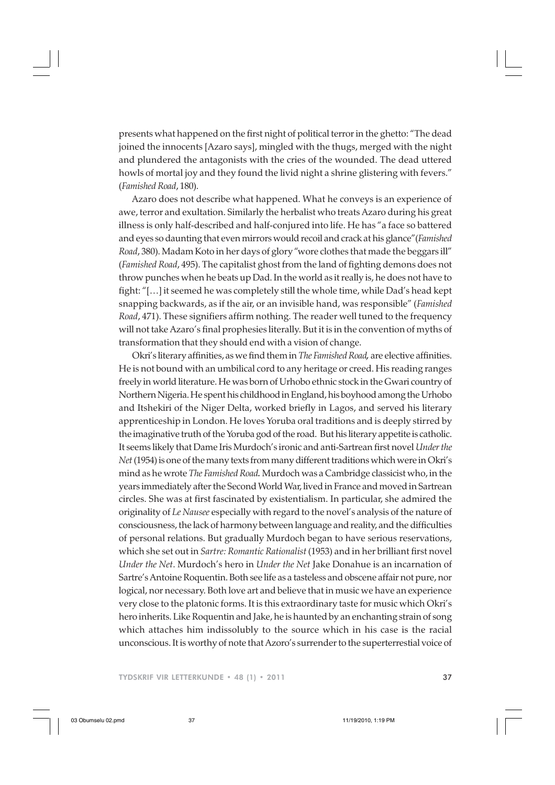presents what happened on the first night of political terror in the ghetto: "The dead joined the innocents [Azaro says], mingled with the thugs, merged with the night and plundered the antagonists with the cries of the wounded. The dead uttered howls of mortal joy and they found the livid night a shrine glistering with fevers." (*Famished Road*, 180).

Azaro does not describe what happened. What he conveys is an experience of awe, terror and exultation. Similarly the herbalist who treats Azaro during his great illness is only half-described and half-conjured into life. He has "a face so battered and eyes so daunting that even mirrors would recoil and crack at his glance"(*Famished Road*, 380). Madam Koto in her days of glory "wore clothes that made the beggars ill" (*Famished Road*, 495). The capitalist ghost from the land of fighting demons does not throw punches when he beats up Dad. In the world as it really is, he does not have to fight: "[…] it seemed he was completely still the whole time, while Dad's head kept snapping backwards, as if the air, or an invisible hand, was responsible" (*Famished Road*, 471). These signifiers affirm nothing. The reader well tuned to the frequency will not take Azaro's final prophesies literally. But it is in the convention of myths of transformation that they should end with a vision of change.

Okri's literary affinities, as we find them in *The Famished Road,* are elective affinities. He is not bound with an umbilical cord to any heritage or creed. His reading ranges freely in world literature. He was born of Urhobo ethnic stock in the Gwari country of Northern Nigeria. He spent his childhood in England, his boyhood among the Urhobo and Itshekiri of the Niger Delta, worked briefly in Lagos, and served his literary apprenticeship in London. He loves Yoruba oral traditions and is deeply stirred by the imaginative truth of the Yoruba god of the road. But his literary appetite is catholic. It seems likely that Dame Iris Murdoch's ironic and anti-Sartrean first novel *Under the Net* (1954) is one of the many texts from many different traditions which were in Okri's mind as he wrote *The Famished Road.* Murdoch was a Cambridge classicist who, in the years immediately after the Second World War, lived in France and moved in Sartrean circles. She was at first fascinated by existentialism. In particular, she admired the originality of *Le Nausee* especially with regard to the novel's analysis of the nature of consciousness, the lack of harmony between language and reality, and the difficulties of personal relations. But gradually Murdoch began to have serious reservations, which she set out in *Sartre: Romantic Rationalist* (1953) and in her brilliant first novel *Under the Net*. Murdoch's hero in *Under the Net* Jake Donahue is an incarnation of Sartre's Antoine Roquentin. Both see life as a tasteless and obscene affair not pure, nor logical, nor necessary. Both love art and believe that in music we have an experience very close to the platonic forms. It is this extraordinary taste for music which Okri's hero inherits. Like Roquentin and Jake, he is haunted by an enchanting strain of song which attaches him indissolubly to the source which in his case is the racial unconscious. It is worthy of note that Azoro's surrender to the superterrestial voice of

TYDSKRIF VIR LETTERKUNDE • 48 (1) • 2011 37